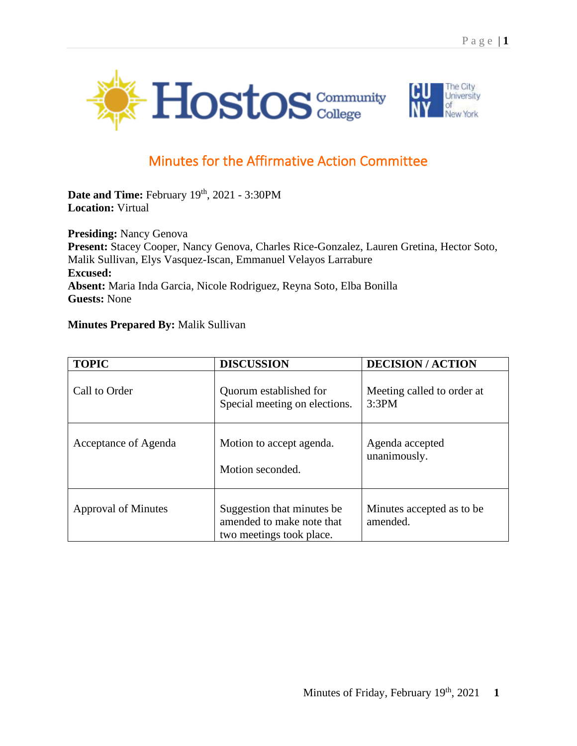



## Minutes for the Affirmative Action Committee

Date and Time: February 19<sup>th</sup>, 2021 - 3:30PM **Location:** Virtual

**Presiding:** Nancy Genova **Present:** Stacey Cooper, Nancy Genova, Charles Rice-Gonzalez, Lauren Gretina, Hector Soto, Malik Sullivan, Elys Vasquez-Iscan, Emmanuel Velayos Larrabure **Excused: Absent:** Maria Inda Garcia, Nicole Rodriguez, Reyna Soto, Elba Bonilla **Guests:** None

## **Minutes Prepared By:** Malik Sullivan

| <b>TOPIC</b>         | <b>DISCUSSION</b>                                                                    | <b>DECISION/ACTION</b>                 |
|----------------------|--------------------------------------------------------------------------------------|----------------------------------------|
| Call to Order        | Quorum established for<br>Special meeting on elections.                              | Meeting called to order at<br>3:3PM    |
| Acceptance of Agenda | Motion to accept agenda.<br>Motion seconded.                                         | Agenda accepted<br>unanimously.        |
| Approval of Minutes  | Suggestion that minutes be.<br>amended to make note that<br>two meetings took place. | Minutes accepted as to be.<br>amended. |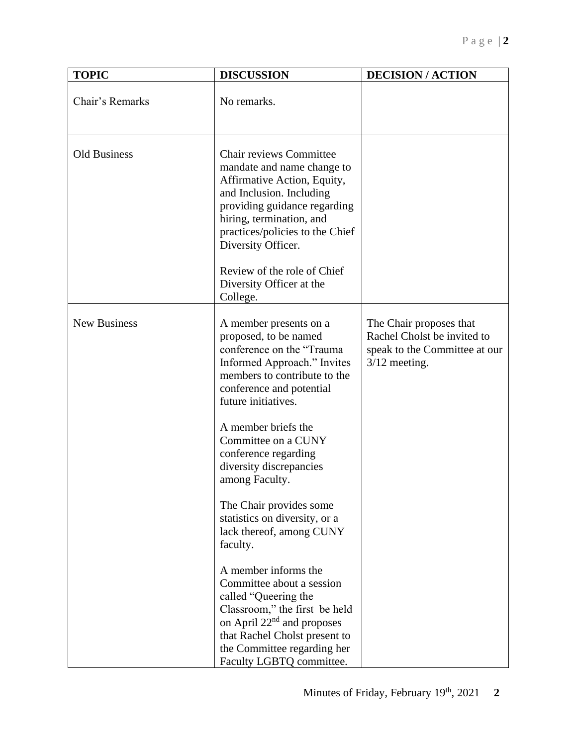| <b>TOPIC</b>        | <b>DISCUSSION</b>                                                                                                                                                                                                                                                                                                 | <b>DECISION/ACTION</b>                                                                                     |
|---------------------|-------------------------------------------------------------------------------------------------------------------------------------------------------------------------------------------------------------------------------------------------------------------------------------------------------------------|------------------------------------------------------------------------------------------------------------|
| Chair's Remarks     | No remarks.                                                                                                                                                                                                                                                                                                       |                                                                                                            |
| <b>Old Business</b> | <b>Chair reviews Committee</b><br>mandate and name change to<br>Affirmative Action, Equity,<br>and Inclusion. Including<br>providing guidance regarding<br>hiring, termination, and<br>practices/policies to the Chief<br>Diversity Officer.<br>Review of the role of Chief<br>Diversity Officer at the           |                                                                                                            |
|                     | College.                                                                                                                                                                                                                                                                                                          |                                                                                                            |
| <b>New Business</b> | A member presents on a<br>proposed, to be named<br>conference on the "Trauma<br>Informed Approach." Invites<br>members to contribute to the<br>conference and potential<br>future initiatives.<br>A member briefs the<br>Committee on a CUNY<br>conference regarding<br>diversity discrepancies<br>among Faculty. | The Chair proposes that<br>Rachel Cholst be invited to<br>speak to the Committee at our<br>$3/12$ meeting. |
|                     | The Chair provides some<br>statistics on diversity, or a<br>lack thereof, among CUNY<br>faculty.                                                                                                                                                                                                                  |                                                                                                            |
|                     | A member informs the<br>Committee about a session<br>called "Queering the<br>Classroom," the first be held<br>on April 22 <sup>nd</sup> and proposes<br>that Rachel Cholst present to<br>the Committee regarding her<br>Faculty LGBTQ committee.                                                                  |                                                                                                            |